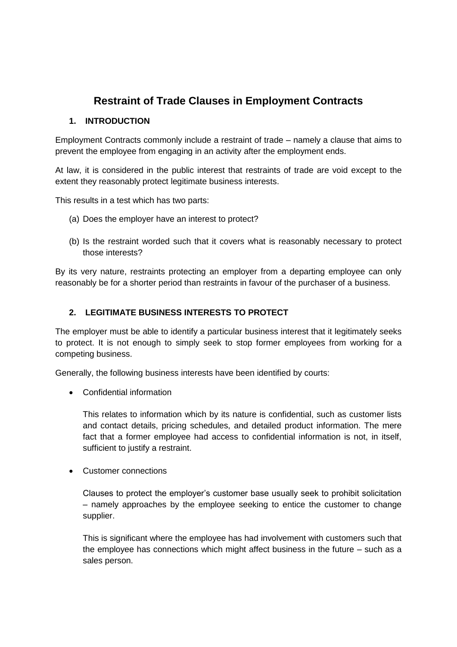# **Restraint of Trade Clauses in Employment Contracts**

# **1. INTRODUCTION**

Employment Contracts commonly include a restraint of trade – namely a clause that aims to prevent the employee from engaging in an activity after the employment ends.

At law, it is considered in the public interest that restraints of trade are void except to the extent they reasonably protect legitimate business interests.

This results in a test which has two parts:

- (a) Does the employer have an interest to protect?
- (b) Is the restraint worded such that it covers what is reasonably necessary to protect those interests?

By its very nature, restraints protecting an employer from a departing employee can only reasonably be for a shorter period than restraints in favour of the purchaser of a business.

# **2. LEGITIMATE BUSINESS INTERESTS TO PROTECT**

The employer must be able to identify a particular business interest that it legitimately seeks to protect. It is not enough to simply seek to stop former employees from working for a competing business.

Generally, the following business interests have been identified by courts:

Confidential information

This relates to information which by its nature is confidential, such as customer lists and contact details, pricing schedules, and detailed product information. The mere fact that a former employee had access to confidential information is not, in itself, sufficient to justify a restraint.

Customer connections

Clauses to protect the employer's customer base usually seek to prohibit solicitation – namely approaches by the employee seeking to entice the customer to change supplier.

This is significant where the employee has had involvement with customers such that the employee has connections which might affect business in the future – such as a sales person.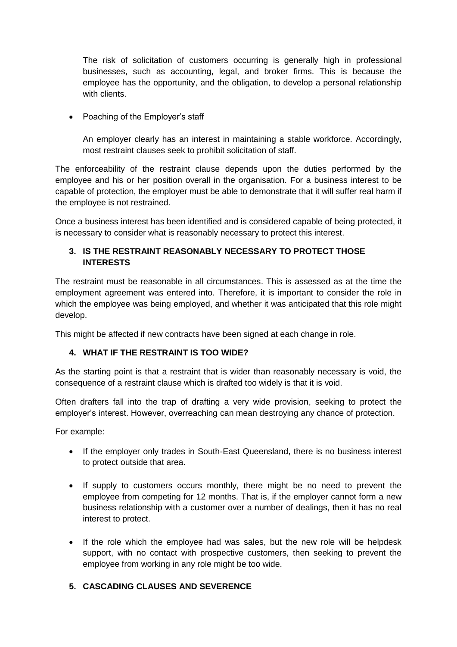The risk of solicitation of customers occurring is generally high in professional businesses, such as accounting, legal, and broker firms. This is because the employee has the opportunity, and the obligation, to develop a personal relationship with clients.

• Poaching of the Employer's staff

An employer clearly has an interest in maintaining a stable workforce. Accordingly, most restraint clauses seek to prohibit solicitation of staff.

The enforceability of the restraint clause depends upon the duties performed by the employee and his or her position overall in the organisation. For a business interest to be capable of protection, the employer must be able to demonstrate that it will suffer real harm if the employee is not restrained.

Once a business interest has been identified and is considered capable of being protected, it is necessary to consider what is reasonably necessary to protect this interest.

### **3. IS THE RESTRAINT REASONABLY NECESSARY TO PROTECT THOSE INTERESTS**

The restraint must be reasonable in all circumstances. This is assessed as at the time the employment agreement was entered into. Therefore, it is important to consider the role in which the employee was being employed, and whether it was anticipated that this role might develop.

This might be affected if new contracts have been signed at each change in role.

# **4. WHAT IF THE RESTRAINT IS TOO WIDE?**

As the starting point is that a restraint that is wider than reasonably necessary is void, the consequence of a restraint clause which is drafted too widely is that it is void.

Often drafters fall into the trap of drafting a very wide provision, seeking to protect the employer's interest. However, overreaching can mean destroying any chance of protection.

For example:

- If the employer only trades in South-East Queensland, there is no business interest to protect outside that area.
- If supply to customers occurs monthly, there might be no need to prevent the employee from competing for 12 months. That is, if the employer cannot form a new business relationship with a customer over a number of dealings, then it has no real interest to protect.
- If the role which the employee had was sales, but the new role will be helpdesk support, with no contact with prospective customers, then seeking to prevent the employee from working in any role might be too wide.

# **5. CASCADING CLAUSES AND SEVERENCE**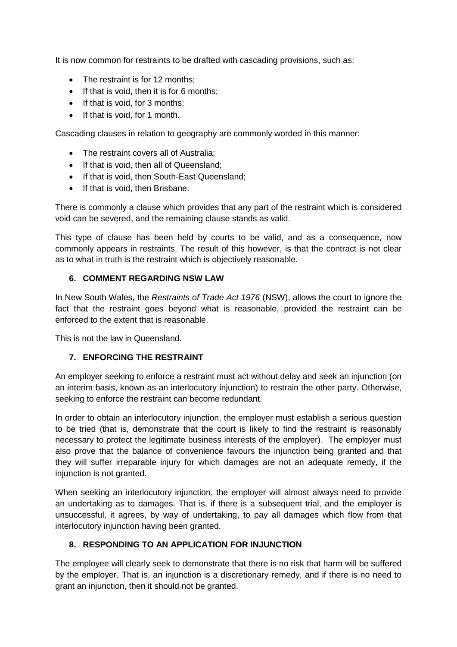It is now common for restraints to be drafted with cascading provisions, such as:

- The restraint is for 12 months;
- $\bullet$  If that is void, then it is for 6 months;
- If that is void, for 3 months;
- If that is void, for 1 month.

Cascading clauses in relation to geography are commonly worded in this manner:

- The restraint covers all of Australia:
- If that is void, then all of Queensland;
- If that is void, then South-East Queensland;
- If that is void, then Brisbane.

There is commonly a clause which provides that any part of the restraint which is considered void can be severed, and the remaining clause stands as valid.

This type of clause has been held by courts to be valid, and as a consequence, now commonly appears in restraints. The result of this however, is that the contract is not clear as to what in truth is the restraint which is objectively reasonable.

#### **6. COMMENT REGARDING NSW LAW**

In New South Wales, the *Restraints of Trade Act 1976* (NSW), allows the court to ignore the fact that the restraint goes beyond what is reasonable, provided the restraint can be enforced to the extent that is reasonable.

This is not the law in Queensland.

#### **7. ENFORCING THE RESTRAINT**

An employer seeking to enforce a restraint must act without delay and seek an injunction (on an interim basis, known as an interlocutory injunction) to restrain the other party. Otherwise, seeking to enforce the restraint can become redundant.

In order to obtain an interlocutory injunction, the employer must establish a serious question to be tried (that is, demonstrate that the court is likely to find the restraint is reasonably necessary to protect the legitimate business interests of the employer). The employer must also prove that the balance of convenience favours the injunction being granted and that they will suffer irreparable injury for which damages are not an adequate remedy, if the injunction is not granted.

When seeking an interlocutory injunction, the employer will almost always need to provide an undertaking as to damages. That is, if there is a subsequent trial, and the employer is unsuccessful, it agrees, by way of undertaking, to pay all damages which flow from that interlocutory injunction having been granted.

# **8. RESPONDING TO AN APPLICATION FOR INJUNCTION**

The employee will clearly seek to demonstrate that there is no risk that harm will be suffered by the employer. That is, an injunction is a discretionary remedy, and if there is no need to grant an injunction, then it should not be granted.